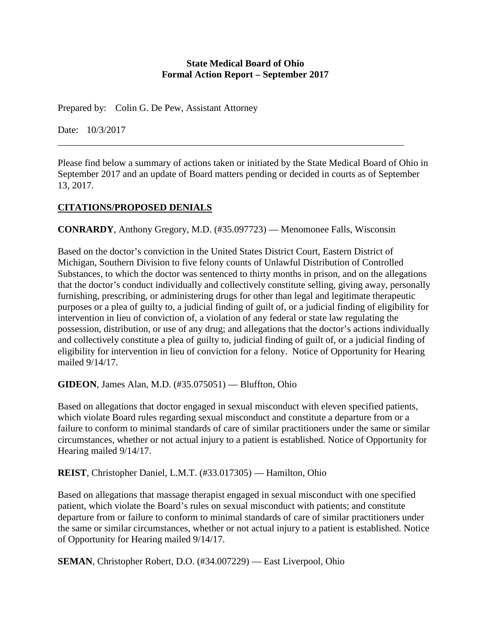### **State Medical Board of Ohio Formal Action Report – September 2017**

Prepared by: Colin G. De Pew, Assistant Attorney

Date: 10/3/2017

Please find below a summary of actions taken or initiated by the State Medical Board of Ohio in September 2017 and an update of Board matters pending or decided in courts as of September 13, 2017.

# **CITATIONS/PROPOSED DENIALS**

**CONRARDY**, Anthony Gregory, M.D. (#35.097723) — Menomonee Falls, Wisconsin

Based on the doctor's conviction in the United States District Court, Eastern District of Michigan, Southern Division to five felony counts of Unlawful Distribution of Controlled Substances, to which the doctor was sentenced to thirty months in prison, and on the allegations that the doctor's conduct individually and collectively constitute selling, giving away, personally furnishing, prescribing, or administering drugs for other than legal and legitimate therapeutic purposes or a plea of guilty to, a judicial finding of guilt of, or a judicial finding of eligibility for intervention in lieu of conviction of, a violation of any federal or state law regulating the possession, distribution, or use of any drug; and allegations that the doctor's actions individually and collectively constitute a plea of guilty to, judicial finding of guilt of, or a judicial finding of eligibility for intervention in lieu of conviction for a felony. Notice of Opportunity for Hearing mailed 9/14/17.

**GIDEON**, James Alan, M.D. (#35.075051) — Bluffton, Ohio

Based on allegations that doctor engaged in sexual misconduct with eleven specified patients, which violate Board rules regarding sexual misconduct and constitute a departure from or a failure to conform to minimal standards of care of similar practitioners under the same or similar circumstances, whether or not actual injury to a patient is established. Notice of Opportunity for Hearing mailed 9/14/17.

**REIST**, Christopher Daniel, L.M.T. (#33.017305) — Hamilton, Ohio

Based on allegations that massage therapist engaged in sexual misconduct with one specified patient, which violate the Board's rules on sexual misconduct with patients; and constitute departure from or failure to conform to minimal standards of care of similar practitioners under the same or similar circumstances, whether or not actual injury to a patient is established. Notice of Opportunity for Hearing mailed 9/14/17.

**SEMAN**, Christopher Robert, D.O. (#34.007229) — East Liverpool, Ohio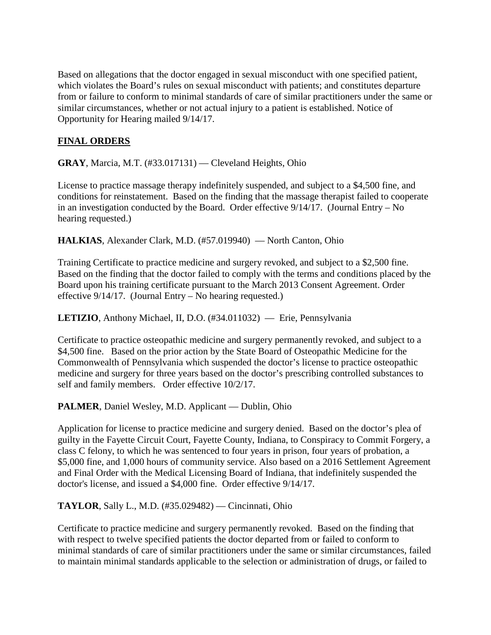Based on allegations that the doctor engaged in sexual misconduct with one specified patient, which violates the Board's rules on sexual misconduct with patients; and constitutes departure from or failure to conform to minimal standards of care of similar practitioners under the same or similar circumstances, whether or not actual injury to a patient is established. Notice of Opportunity for Hearing mailed 9/14/17.

# **FINAL ORDERS**

**GRAY**, Marcia, M.T. (#33.017131) — Cleveland Heights, Ohio

License to practice massage therapy indefinitely suspended, and subject to a \$4,500 fine, and conditions for reinstatement. Based on the finding that the massage therapist failed to cooperate in an investigation conducted by the Board. Order effective 9/14/17. (Journal Entry – No hearing requested.)

**HALKIAS**, Alexander Clark, M.D. (#57.019940) — North Canton, Ohio

Training Certificate to practice medicine and surgery revoked, and subject to a \$2,500 fine. Based on the finding that the doctor failed to comply with the terms and conditions placed by the Board upon his training certificate pursuant to the March 2013 Consent Agreement. Order effective 9/14/17. (Journal Entry – No hearing requested.)

**LETIZIO**, Anthony Michael, II, D.O. (#34.011032) — Erie, Pennsylvania

Certificate to practice osteopathic medicine and surgery permanently revoked, and subject to a \$4,500 fine. Based on the prior action by the State Board of Osteopathic Medicine for the Commonwealth of Pennsylvania which suspended the doctor's license to practice osteopathic medicine and surgery for three years based on the doctor's prescribing controlled substances to self and family members. Order effective 10/2/17.

**PALMER**, Daniel Wesley, M.D. Applicant — Dublin, Ohio

Application for license to practice medicine and surgery denied. Based on the doctor's plea of guilty in the Fayette Circuit Court, Fayette County, Indiana, to Conspiracy to Commit Forgery, a class C felony, to which he was sentenced to four years in prison, four years of probation, a \$5,000 fine, and 1,000 hours of community service. Also based on a 2016 Settlement Agreement and Final Order with the Medical Licensing Board of Indiana, that indefinitely suspended the doctor's license, and issued a \$4,000 fine. Order effective 9/14/17.

**TAYLOR**, Sally L., M.D. (#35.029482) — Cincinnati, Ohio

Certificate to practice medicine and surgery permanently revoked. Based on the finding that with respect to twelve specified patients the doctor departed from or failed to conform to minimal standards of care of similar practitioners under the same or similar circumstances, failed to maintain minimal standards applicable to the selection or administration of drugs, or failed to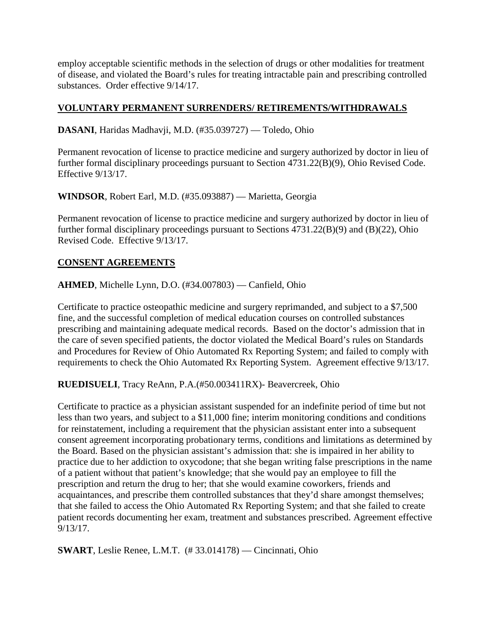employ acceptable scientific methods in the selection of drugs or other modalities for treatment of disease, and violated the Board's rules for treating intractable pain and prescribing controlled substances. Order effective 9/14/17.

## **VOLUNTARY PERMANENT SURRENDERS/ RETIREMENTS/WITHDRAWALS**

**DASANI**, Haridas Madhavji, M.D. (#35.039727) — Toledo, Ohio

Permanent revocation of license to practice medicine and surgery authorized by doctor in lieu of further formal disciplinary proceedings pursuant to Section 4731.22(B)(9), Ohio Revised Code. Effective 9/13/17.

**WINDSOR**, Robert Earl, M.D. (#35.093887) — Marietta, Georgia

Permanent revocation of license to practice medicine and surgery authorized by doctor in lieu of further formal disciplinary proceedings pursuant to Sections 4731.22(B)(9) and (B)(22), Ohio Revised Code. Effective 9/13/17.

### **CONSENT AGREEMENTS**

**AHMED**, Michelle Lynn, D.O. (#34.007803) — Canfield, Ohio

Certificate to practice osteopathic medicine and surgery reprimanded, and subject to a \$7,500 fine, and the successful completion of medical education courses on controlled substances prescribing and maintaining adequate medical records. Based on the doctor's admission that in the care of seven specified patients, the doctor violated the Medical Board's rules on Standards and Procedures for Review of Ohio Automated Rx Reporting System; and failed to comply with requirements to check the Ohio Automated Rx Reporting System. Agreement effective 9/13/17.

**RUEDISUELI**, Tracy ReAnn, P.A.(#50.003411RX)- Beavercreek, Ohio

Certificate to practice as a physician assistant suspended for an indefinite period of time but not less than two years, and subject to a \$11,000 fine; interim monitoring conditions and conditions for reinstatement, including a requirement that the physician assistant enter into a subsequent consent agreement incorporating probationary terms, conditions and limitations as determined by the Board. Based on the physician assistant's admission that: she is impaired in her ability to practice due to her addiction to oxycodone; that she began writing false prescriptions in the name of a patient without that patient's knowledge; that she would pay an employee to fill the prescription and return the drug to her; that she would examine coworkers, friends and acquaintances, and prescribe them controlled substances that they'd share amongst themselves; that she failed to access the Ohio Automated Rx Reporting System; and that she failed to create patient records documenting her exam, treatment and substances prescribed. Agreement effective 9/13/17.

**SWART**, Leslie Renee, L.M.T. (# 33.014178) — Cincinnati, Ohio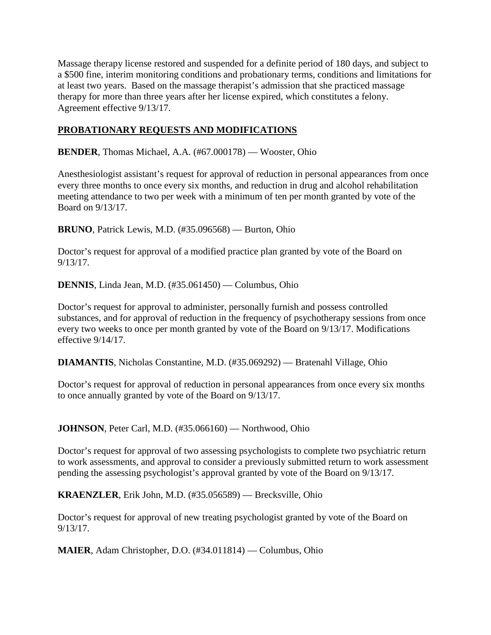Massage therapy license restored and suspended for a definite period of 180 days, and subject to a \$500 fine, interim monitoring conditions and probationary terms, conditions and limitations for at least two years. Based on the massage therapist's admission that she practiced massage therapy for more than three years after her license expired, which constitutes a felony. Agreement effective 9/13/17.

## **PROBATIONARY REQUESTS AND MODIFICATIONS**

**BENDER**, Thomas Michael, A.A. (#67.000178) — Wooster, Ohio

Anesthesiologist assistant's request for approval of reduction in personal appearances from once every three months to once every six months, and reduction in drug and alcohol rehabilitation meeting attendance to two per week with a minimum of ten per month granted by vote of the Board on 9/13/17.

**BRUNO**, Patrick Lewis, M.D. (#35.096568) — Burton, Ohio

Doctor's request for approval of a modified practice plan granted by vote of the Board on 9/13/17.

**DENNIS**, Linda Jean, M.D. (#35.061450) — Columbus, Ohio

Doctor's request for approval to administer, personally furnish and possess controlled substances, and for approval of reduction in the frequency of psychotherapy sessions from once every two weeks to once per month granted by vote of the Board on 9/13/17. Modifications effective 9/14/17.

**DIAMANTIS**, Nicholas Constantine, M.D. (#35.069292) — Bratenahl Village, Ohio

Doctor's request for approval of reduction in personal appearances from once every six months to once annually granted by vote of the Board on 9/13/17.

**JOHNSON**, Peter Carl, M.D. (#35.066160) — Northwood, Ohio

Doctor's request for approval of two assessing psychologists to complete two psychiatric return to work assessments, and approval to consider a previously submitted return to work assessment pending the assessing psychologist's approval granted by vote of the Board on 9/13/17.

**KRAENZLER**, Erik John, M.D. (#35.056589) — Brecksville, Ohio

Doctor's request for approval of new treating psychologist granted by vote of the Board on 9/13/17.

**MAIER**, Adam Christopher, D.O. (#34.011814) — Columbus, Ohio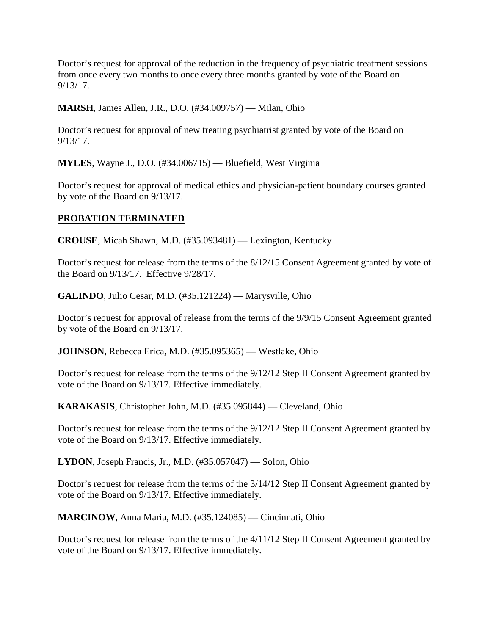Doctor's request for approval of the reduction in the frequency of psychiatric treatment sessions from once every two months to once every three months granted by vote of the Board on 9/13/17.

**MARSH**, James Allen, J.R., D.O. (#34.009757) — Milan, Ohio

Doctor's request for approval of new treating psychiatrist granted by vote of the Board on 9/13/17.

**MYLES**, Wayne J., D.O. (#34.006715) — Bluefield, West Virginia

Doctor's request for approval of medical ethics and physician-patient boundary courses granted by vote of the Board on 9/13/17.

## **PROBATION TERMINATED**

**CROUSE**, Micah Shawn, M.D. (#35.093481) — Lexington, Kentucky

Doctor's request for release from the terms of the 8/12/15 Consent Agreement granted by vote of the Board on 9/13/17. Effective 9/28/17.

**GALINDO**, Julio Cesar, M.D. (#35.121224) — Marysville, Ohio

Doctor's request for approval of release from the terms of the 9/9/15 Consent Agreement granted by vote of the Board on 9/13/17.

**JOHNSON**, Rebecca Erica, M.D. (#35.095365) — Westlake, Ohio

Doctor's request for release from the terms of the 9/12/12 Step II Consent Agreement granted by vote of the Board on 9/13/17. Effective immediately.

**KARAKASIS**, Christopher John, M.D. (#35.095844) — Cleveland, Ohio

Doctor's request for release from the terms of the 9/12/12 Step II Consent Agreement granted by vote of the Board on 9/13/17. Effective immediately.

**LYDON**, Joseph Francis, Jr., M.D. (#35.057047) — Solon, Ohio

Doctor's request for release from the terms of the 3/14/12 Step II Consent Agreement granted by vote of the Board on 9/13/17. Effective immediately.

**MARCINOW**, Anna Maria, M.D. (#35.124085) — Cincinnati, Ohio

Doctor's request for release from the terms of the 4/11/12 Step II Consent Agreement granted by vote of the Board on 9/13/17. Effective immediately.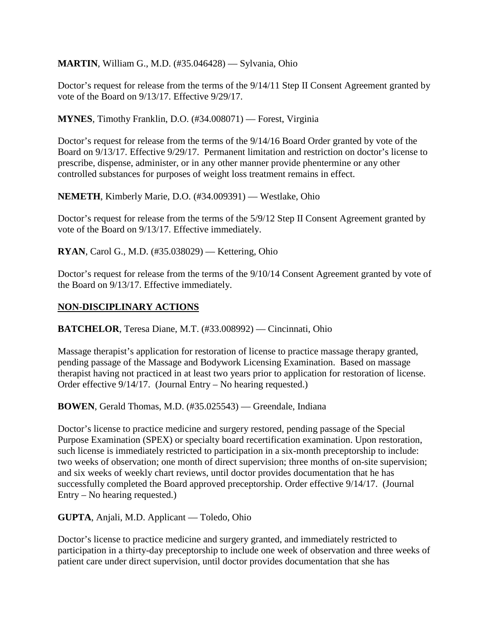**MARTIN**, William G., M.D. (#35.046428) — Sylvania, Ohio

Doctor's request for release from the terms of the 9/14/11 Step II Consent Agreement granted by vote of the Board on 9/13/17. Effective 9/29/17.

**MYNES**, Timothy Franklin, D.O. (#34.008071) — Forest, Virginia

Doctor's request for release from the terms of the 9/14/16 Board Order granted by vote of the Board on 9/13/17. Effective 9/29/17. Permanent limitation and restriction on doctor's license to prescribe, dispense, administer, or in any other manner provide phentermine or any other controlled substances for purposes of weight loss treatment remains in effect.

**NEMETH**, Kimberly Marie, D.O. (#34.009391) — Westlake, Ohio

Doctor's request for release from the terms of the 5/9/12 Step II Consent Agreement granted by vote of the Board on 9/13/17. Effective immediately.

**RYAN**, Carol G., M.D. (#35.038029) — Kettering, Ohio

Doctor's request for release from the terms of the 9/10/14 Consent Agreement granted by vote of the Board on 9/13/17. Effective immediately.

# **NON-DISCIPLINARY ACTIONS**

**BATCHELOR**, Teresa Diane, M.T. (#33.008992) — Cincinnati, Ohio

Massage therapist's application for restoration of license to practice massage therapy granted, pending passage of the Massage and Bodywork Licensing Examination. Based on massage therapist having not practiced in at least two years prior to application for restoration of license. Order effective 9/14/17. (Journal Entry – No hearing requested.)

**BOWEN**, Gerald Thomas, M.D. (#35.025543) — Greendale, Indiana

Doctor's license to practice medicine and surgery restored, pending passage of the Special Purpose Examination (SPEX) or specialty board recertification examination. Upon restoration, such license is immediately restricted to participation in a six-month preceptorship to include: two weeks of observation; one month of direct supervision; three months of on-site supervision; and six weeks of weekly chart reviews, until doctor provides documentation that he has successfully completed the Board approved preceptorship. Order effective 9/14/17. (Journal Entry – No hearing requested.)

**GUPTA**, Anjali, M.D. Applicant — Toledo, Ohio

Doctor's license to practice medicine and surgery granted, and immediately restricted to participation in a thirty-day preceptorship to include one week of observation and three weeks of patient care under direct supervision, until doctor provides documentation that she has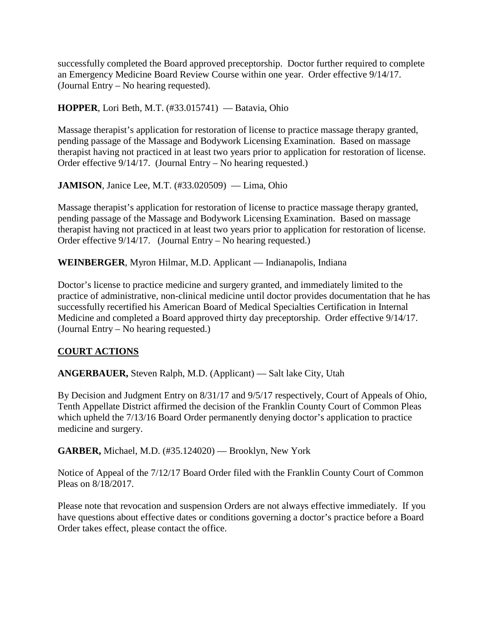successfully completed the Board approved preceptorship. Doctor further required to complete an Emergency Medicine Board Review Course within one year. Order effective 9/14/17. (Journal Entry – No hearing requested).

### **HOPPER**, Lori Beth, M.T. (#33.015741) — Batavia, Ohio

Massage therapist's application for restoration of license to practice massage therapy granted, pending passage of the Massage and Bodywork Licensing Examination. Based on massage therapist having not practiced in at least two years prior to application for restoration of license. Order effective 9/14/17. (Journal Entry – No hearing requested.)

**JAMISON**, Janice Lee, M.T. (#33.020509) — Lima, Ohio

Massage therapist's application for restoration of license to practice massage therapy granted, pending passage of the Massage and Bodywork Licensing Examination. Based on massage therapist having not practiced in at least two years prior to application for restoration of license. Order effective 9/14/17. (Journal Entry – No hearing requested.)

**WEINBERGER**, Myron Hilmar, M.D. Applicant — Indianapolis, Indiana

Doctor's license to practice medicine and surgery granted, and immediately limited to the practice of administrative, non-clinical medicine until doctor provides documentation that he has successfully recertified his American Board of Medical Specialties Certification in Internal Medicine and completed a Board approved thirty day preceptorship. Order effective 9/14/17. (Journal Entry – No hearing requested.)

## **COURT ACTIONS**

**ANGERBAUER,** Steven Ralph, M.D. (Applicant) — Salt lake City, Utah

By Decision and Judgment Entry on 8/31/17 and 9/5/17 respectively, Court of Appeals of Ohio, Tenth Appellate District affirmed the decision of the Franklin County Court of Common Pleas which upheld the  $7/13/16$  Board Order permanently denying doctor's application to practice medicine and surgery.

**GARBER,** Michael, M.D. (#35.124020) — Brooklyn, New York

Notice of Appeal of the 7/12/17 Board Order filed with the Franklin County Court of Common Pleas on 8/18/2017.

Please note that revocation and suspension Orders are not always effective immediately. If you have questions about effective dates or conditions governing a doctor's practice before a Board Order takes effect, please contact the office.